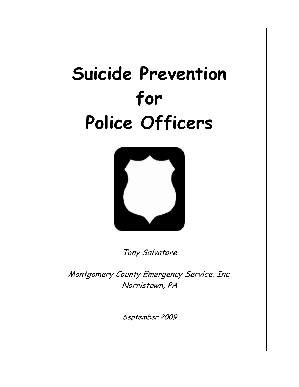# **Suicide Prevention for Police Officers**



Tony Salvatore

Montgomery County Emergency Service, Inc. Norristown, PA

September 2009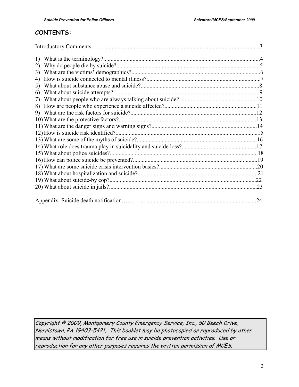# **CONTENTS:**

| 2) |    |
|----|----|
| 3) |    |
| 4) |    |
| 5) |    |
| 6) |    |
| 7) |    |
| 8) |    |
|    |    |
|    |    |
|    |    |
|    |    |
|    |    |
|    |    |
|    |    |
|    |    |
|    |    |
|    |    |
|    |    |
|    |    |
|    |    |
|    | 24 |

Copyright © 2009, Montgomery County Emergency Service, Inc., 50 Beech Drive, Norristown, PA 19403-5421. This booklet may be photocopied or reproduced by other means without modification for free use in suicide prevention activities. Use or reproduction for any other purposes requires the written permission of MCES.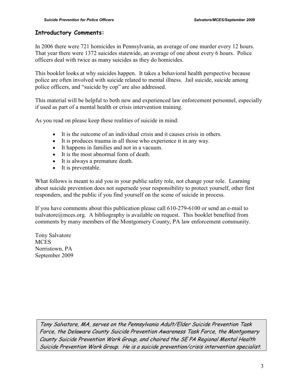#### **Introductory Comments:**

In 2006 there were 721 homicides in Pennsylvania, an average of one murder every 12 hours. That year there were 1372 suicides statewide, an average of one about every 6 hours. Police officers deal with twice as many suicides as they do homicides.

This booklet looks at why suicides happen. It takes a behavioral health perspective because police are often involved with suicide related to mental illness. Jail suicide, suicide among police officers, and "suicide by cop" are also addressed.

This material will be helpful to both new and experienced law enforcement personnel, especially if used as part of a mental health or crisis intervention training.

As you read on please keep these realities of suicide in mind:

- It is the outcome of an individual crisis and it causes crisis in others.
- It is produces trauma in all those who experience it in any way.
- It happens in families and not in a vacuum.
- It is the most abnormal form of death.
- It is always a premature death.
- It is preventable.

What follows is meant to aid you in your public safety role, not change your role. Learning about suicide prevention does not supersede your responsibility to protect yourself, other first responders, and the public if you find yourself on the scene of suicide in process.

If you have comments about this publication please call 610-279-6100 or send an e-mail to tsalvatore@mces.org. A bibliography is available on request. This booklet benefited from comments by many members of the Montgomery County, PA law enforcement community.

Tony Salvatore **MCES** Norristown, PA September 2009

> Tony Salvatore, MA, serves on the Pennsylvania Adult/Elder Suicide Prevention Task Force, the Delaware County Suicide Prevention Awareness Task Force, the Montgomery County Suicide Prevention Work Group, and chaired the SE PA Regional Mental Health Suicide Prevention Work Group. He is a suicide prevention/crisis intervention specialist.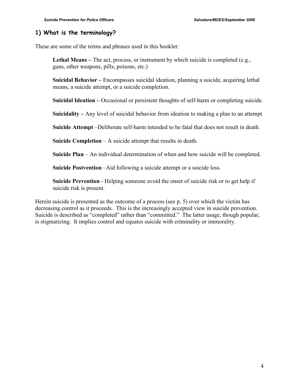### **1) What is the terminology?**

These are some of the terms and phrases used in this booklet:

Lethal Means – The act, process, or instrument by which suicide is completed (e.g., guns, other weapons, pills, poisons, etc.)

**Suicidal Behavior –** Encompasses suicidal ideation, planning a suicide, acquiring lethal means, a suicide attempt, or a suicide completion.

**Suicidal Ideation –** Occasional or persistent thoughts of self-harm or completing suicide.

**Suicidality –** Any level of suicidal behavior from ideation to making a plan to an attempt

**Suicide Attempt** –Deliberate self-harm intended to be fatal that does not result in death.

**Suicide Completion** – A suicide attempt that results in death.

**Suicide Plan** – An individual determination of when and how suicide will be completed.

**Suicide Postvention** –Aid following a suicide attempt or a suicide loss.

**Suicide Prevention** - Helping someone avoid the onset of suicide risk or to get help if suicide risk is present.

Herein suicide is presented as the outcome of a process (see p. 5) over which the victim has decreasing control as it proceeds. This is the increasingly accepted view in suicide prevention. Suicide is described as "completed" rather than "committed." The latter usage, though popular, is stigmatizing. It implies control and equates suicide with criminality or immorality.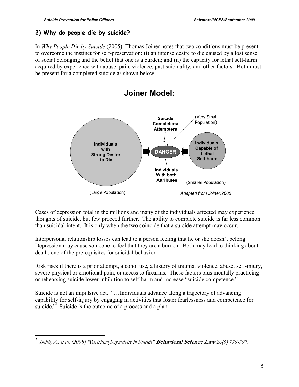<u>.</u>

# **2) Why do people die by suicide?**

In *Why People Die by Suicide* (2005), Thomas Joiner notes that two conditions must be present to overcome the instinct for self-preservation: (i) an intense desire to die caused by a lost sense of social belonging and the belief that one is a burden; and (ii) the capacity for lethal self-harm acquired by experience with abuse, pain, violence, past suicidality, and other factors. Both must be present for a completed suicide as shown below:



Cases of depression total in the millions and many of the individuals affected may experience thoughts of suicide, but few proceed further. The ability to complete suicide is far less common than suicidal intent. It is only when the two coincide that a suicide attempt may occur.

Interpersonal relationship losses can lead to a person feeling that he or she doesn't belong. Depression may cause someone to feel that they are a burden. Both may lead to thinking about death, one of the prerequisites for suicidal behavior.

Risk rises if there is a prior attempt, alcohol use, a history of trauma, violence, abuse, self-injury, severe physical or emotional pain, or access to firearms. These factors plus mentally practicing or rehearsing suicide lower inhibition to self-harm and increase "suicide competence."

Suicide is not an impulsive act. "…Individuals advance along a trajectory of advancing capability for self-injury by engaging in activities that foster fearlessness and competence for suicide."<sup>1</sup> Suicide is the outcome of a process and a plan.

*<sup>1</sup> Smith, A. et al. (2008) "Revisiting Impulsivity in Suicide"* **Behavioral Science Law** *26(6) 779-797*.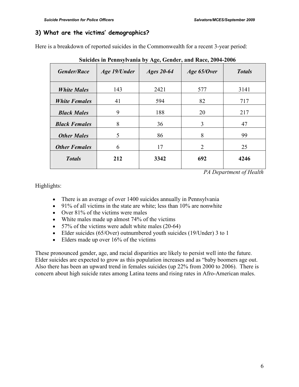### **3) What are the victims' demographics?**

Here is a breakdown of reported suicides in the Commonwealth for a recent 3-year period:

| Suicides in Fennsylvania by Age, Gender, and Nace, 2004-2000 |              |              |                |               |
|--------------------------------------------------------------|--------------|--------------|----------------|---------------|
| <b>Gender/Race</b>                                           | Age 19/Under | Ages $20-64$ | Age 65/Over    | <b>Totals</b> |
| <b>White Males</b>                                           | 143          | 2421         | 577            | 3141          |
| <b>White Females</b>                                         | 41           | 594          | 82             | 717           |
| <b>Black Males</b>                                           | 9            | 188          | 20             | 217           |
| <b>Black Females</b>                                         | 8            | 36           | 3              | 47            |
| <b>Other Males</b>                                           | 5            | 86           | 8              | 99            |
| <b>Other Females</b>                                         | 6            | 17           | $\overline{2}$ | 25            |
| <b>Totals</b>                                                | 212          | 3342         | 692            | 4246          |

 **Suicides in Pennsylvania by Age, Gender, and Race, 2004-2006** 

*PA Department of Health* 

Highlights:

- There is an average of over 1400 suicides annually in Pennsylvania
- 91% of all victims in the state are white; less than 10% are nonwhite
- Over 81% of the victims were males
- White males made up almost 74% of the victims
- 57% of the victims were adult white males (20-64)
- Elder suicides (65/Over) outnumbered youth suicides (19/Under) 3 to 1
- Elders made up over 16% of the victims

These pronounced gender, age, and racial disparities are likely to persist well into the future. Elder suicides are expected to grow as this population increases and as "baby boomers age out. Also there has been an upward trend in females suicides (up 22% from 2000 to 2006). There is concern about high suicide rates among Latina teens and rising rates in Afro-American males.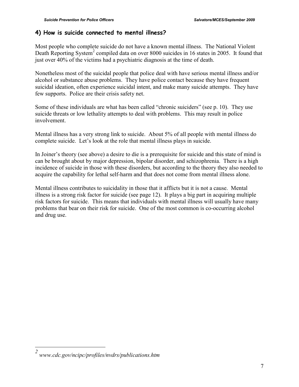# **4) How is suicide connected to mental illness?**

Most people who complete suicide do not have a known mental illness. The National Violent Death Reporting System<sup>2</sup> compiled data on over 8000 suicides in 16 states in 2005. It found that just over 40% of the victims had a psychiatric diagnosis at the time of death.

Nonetheless most of the suicidal people that police deal with have serious mental illness and/or alcohol or substance abuse problems. They have police contact because they have frequent suicidal ideation, often experience suicidal intent, and make many suicide attempts. They have few supports. Police are their crisis safety net.

Some of these individuals are what has been called "chronic suiciders" (see p. 10). They use suicide threats or low lethality attempts to deal with problems. This may result in police involvement.

Mental illness has a very strong link to suicide. About 5% of all people with mental illness do complete suicide. Let's look at the role that mental illness plays in suicide.

In Joiner's theory (see above) a desire to die is a prerequisite for suicide and this state of mind is can be brought about by major depression, bipolar disorder, and schizophrenia. There is a high incidence of suicide in those with these disorders, but according to the theory they also needed to acquire the capability for lethal self-harm and that does not come from mental illness alone.

Mental illness contributes to suicidality in those that it afflicts but it is not a cause. Mental illness is a strong risk factor for suicide (see page 12). It plays a big part in acquiring multiple risk factors for suicide. This means that individuals with mental illness will usually have many problems that bear on their risk for suicide. One of the most common is co-occurring alcohol and drug use.

l

*<sup>2</sup> www.cdc.gov/ncipc/profiles/nvdrs/publications.htm*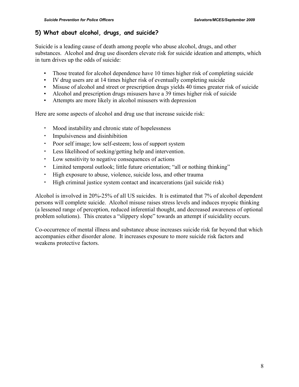# **5) What about alcohol, drugs, and suicide?**

Suicide is a leading cause of death among people who abuse alcohol, drugs, and other substances. Alcohol and drug use disorders elevate risk for suicide ideation and attempts, which in turn drives up the odds of suicide:

- Those treated for alcohol dependence have 10 times higher risk of completing suicide
- IV drug users are at 14 times higher risk of eventually completing suicide
- Misuse of alcohol and street or prescription drugs yields 40 times greater risk of suicide
- Alcohol and prescription drugs misusers have a 39 times higher risk of suicide
- Attempts are more likely in alcohol misusers with depression

Here are some aspects of alcohol and drug use that increase suicide risk:

- Mood instability and chronic state of hopelessness
- Impulsiveness and disinhibition
- Poor self image; low self-esteem; loss of support system
- Less likelihood of seeking/getting help and intervention.
- Low sensitivity to negative consequences of actions
- Limited temporal outlook; little future orientation; "all or nothing thinking"
- High exposure to abuse, violence, suicide loss, and other trauma
- High criminal justice system contact and incarcerations (jail suicide risk)

Alcohol is involved in 20%-25% of all US suicides. It is estimated that 7% of alcohol dependent persons will complete suicide. Alcohol misuse raises stress levels and induces myopic thinking (a lessened range of perception, reduced inferential thought, and decreased awareness of optional problem solutions). This creates a "slippery slope" towards an attempt if suicidality occurs.

Co-occurrence of mental illness and substance abuse increases suicide risk far beyond that which accompanies either disorder alone. It increases exposure to more suicide risk factors and weakens protective factors.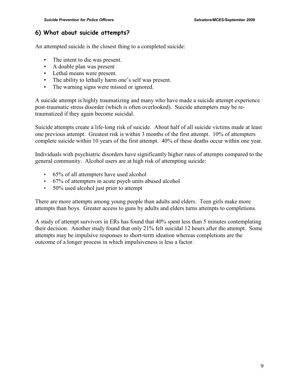#### **6) What about suicide attempts?**

An attempted suicide is the closest thing to a completed suicide:

- The intent to die was present.
- A doable plan was present
- Lethal means were present.
- The ability to lethally harm one's self was present.
- The warning signs were missed or ignored.

A suicide attempt is highly traumatizing and many who have made a suicide attempt experience post-traumatic stress disorder (which is often overlooked). Suicide attempters may be retraumatized if they again become suicidal.

Suicide attempts create a life-long risk of suicide. About half of all suicide victims made at least one previous attempt. Greatest risk is within 3 months of the first attempt. 10% of attempters complete suicide within 10 years of the first attempt. 40% of these deaths occur within one year.

Individuals with psychiatric disorders have significantly higher rates of attempts compared to the general community. Alcohol users are at high risk of attempting suicide:

- 65% of all attempters have used alcohol
- 67% of attempters in acute psych units abused alcohol
- 50% used alcohol just prior to attempt

There are more attempts among young people than adults and elders. Teen girls make more attempts than boys. Greater access to guns by adults and elders turns attempts to completions.

A study of attempt survivors in ERs has found that 40% spent less than 5 minutes contemplating their decision. Another study found that only 21% felt suicidal 12 hours after the attempt. Some attempts may be impulsive responses to short-term ideation whereas completions are the outcome of a longer process in which impulsiveness is less a factor.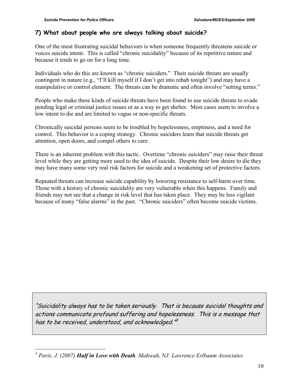#### **7) What about people who are always talking about suicide?**

One of the most frustrating suicidal behaviors is when someone frequently threatens suicide or voices suicide intent. This is called "chronic suicidality" because of its repetitive nature and because it tends to go on for a long time.

Individuals who do this are known as "chronic suiciders." Their suicide threats are usually contingent in nature (e.g., "I'll kill myself if I don't get into rehab tonight") and may have a manipulative or control element. The threats can be dramatic and often involve "setting terms."

People who make these kinds of suicide threats have been found to use suicide threats to evade pending legal or criminal justice issues or as a way to get shelter. Most cases seem to involve a low intent to die and are limited to vague or non-specific threats.

Chronically suicidal persons seem to be troubled by hopelessness, emptiness, and a need for control. This behavior is a coping strategy. Chronic suiciders learn that suicide threats get attention, open doors, and compel others to care.

There is an inherent problem with this tactic. Overtime "chronic suiciders" may raise their threat level while they are getting more used to the idea of suicide. Despite their low desire to die they may have many some very real risk factors for suicide and a weakening set of protective factors.

Repeated threats can increase suicide capability by lowering resistance to self-harm over time. Those with a history of chronic suicidality are very vulnerable when this happens. Family and friends may not see that a change in risk level that has taken place. They may be less vigilant because of many "false alarms" in the past. "Chronic suiciders" often become suicide victims.

"Suicidality always has to be taken seriously. That is because suicidal thoughts and actions communicate profound suffering and hopelessness. This is a message that has to be received, understood, and acknowledged."<sup>3</sup>

 $\overline{a}$ *3 Paris, J. (2007) Half in Love with Death. Mahwah, NJ: Lawrence Erlbaum Associates*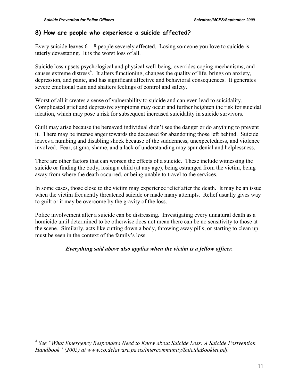#### **8) How are people who experience a suicide affected?**

Every suicide leaves  $6 - 8$  people severely affected. Losing someone you love to suicide is utterly devastating. It is the worst loss of all.

Suicide loss upsets psychological and physical well-being, overrides coping mechanisms, and causes extreme distress<sup>4</sup>. It alters functioning, changes the quality of life, brings on anxiety, depression, and panic, and has significant affective and behavioral consequences. It generates severe emotional pain and shatters feelings of control and safety.

Worst of all it creates a sense of vulnerability to suicide and can even lead to suicidality. Complicated grief and depressive symptoms may occur and further heighten the risk for suicidal ideation, which may pose a risk for subsequent increased suicidality in suicide survivors.

Guilt may arise because the bereaved individual didn't see the danger or do anything to prevent it. There may be intense anger towards the deceased for abandoning those left behind. Suicide leaves a numbing and disabling shock because of the suddenness, unexpectedness, and violence involved. Fear, stigma, shame, and a lack of understanding may spur denial and helplessness.

There are other factors that can worsen the effects of a suicide. These include witnessing the suicide or finding the body, losing a child (at any age), being estranged from the victim, being away from where the death occurred, or being unable to travel to the services.

In some cases, those close to the victim may experience relief after the death. It may be an issue when the victim frequently threatened suicide or made many attempts. Relief usually gives way to guilt or it may be overcome by the gravity of the loss.

Police involvement after a suicide can be distressing. Investigating every unnatural death as a homicide until determined to be otherwise does not mean there can be no sensitivity to those at the scene. Similarly, acts like cutting down a body, throwing away pills, or starting to clean up must be seen in the context of the family's loss.

#### *Everything said above also applies when the victim is a fellow officer.*

 *4 See "What Emergency Responders Need to Know about Suicide Loss: A Suicide Postvention Handbook" (2005) at www.co.delaware.pa.us/intercommunity/SuicideBooklet.pdf.*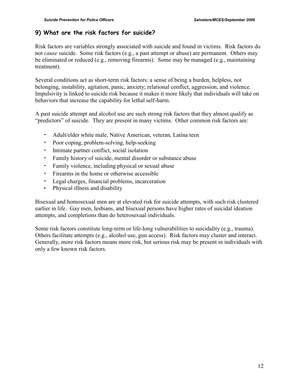### **9) What are the risk factors for suicide?**

Risk factors are variables strongly associated with suicide and found in victims. Risk factors do not *cause* suicide. Some risk factors (e.g., a past attempt or abuse) are permanent. Others may be eliminated or reduced (e.g., removing firearms). Some may be managed (e.g., maintaining treatment).

Several conditions act as short-term risk factors: a sense of being a burden, helpless, not belonging, instability, agitation, panic, anxiety; relational conflict, aggression, and violence. Impulsivity is linked to suicide risk because it makes it more likely that individuals will take on behaviors that increase the capability for lethal self-harm.

A past suicide attempt and alcohol use are such strong risk factors that they almost qualify as "predictors" of suicide. They are present in many victims. Other common risk factors are:

- Adult/elder white male, Native American, veteran, Latina teen
- Poor coping, problem-solving, help-seeking
- Intimate partner conflict, social isolation
- Family history of suicide, mental disorder or substance abuse
- Family violence, including physical or sexual abuse
- Firearms in the home or otherwise accessible
- Legal charges, financial problems, incarceration
- Physical illness and disability

Bisexual and homosexual men are at elevated risk for suicide attempts, with such risk clustered earlier in life. Gay men, lesbians, and bisexual persons have higher rates of suicidal ideation attempts, and completions than do heterosexual individuals.

Some risk factors constitute long-term or life-long vulnerabilities to suicidality (e.g., trauma). Others facilitate attempts (e.g., alcohol use, gun access). Risk factors may cluster and interact. Generally, more risk factors means more risk, but serious risk may be present in individuals with only a few known risk factors.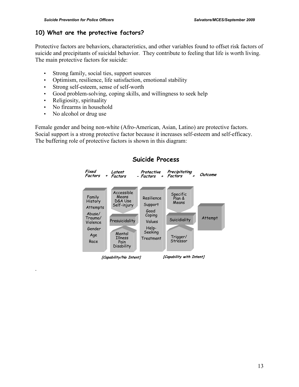### **10) What are the protective factors?**

Protective factors are behaviors, characteristics, and other variables found to offset risk factors of suicide and precipitants of suicidal behavior. They contribute to feeling that life is worth living. The main protective factors for suicide:

- Strong family, social ties, support sources
- Optimism, resilience, life satisfaction, emotional stability
- Strong self-esteem, sense of self-worth
- Good problem-solving, coping skills, and willingness to seek help
- Religiosity, spirituality
- No firearms in household
- No alcohol or drug use

.

Female gender and being non-white (Afro-American, Asian, Latino) are protective factors. Social support is a strong protective factor because it increases self-esteem and self-efficacy. The buffering role of protective factors is shown in this diagram:



### **Suicide Process**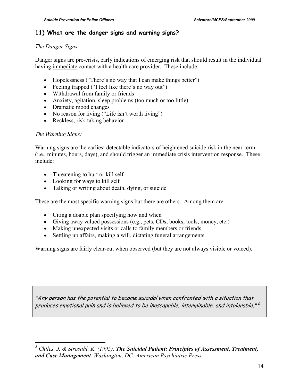#### **11) What are the danger signs and warning signs?**

#### *The Danger Signs:*

Danger signs are pre-crisis, early indications of emerging risk that should result in the individual having immediate contact with a health care provider. These include:

- Hopelessness ("There's no way that I can make things better")
- Feeling trapped ("I feel like there's no way out")
- Withdrawal from family or friends
- Anxiety, agitation, sleep problems (too much or too little)
- Dramatic mood changes
- No reason for living ("Life isn't worth living")
- Reckless, risk-taking behavior

#### *The Warning Signs:*

Warning signs are the earliest detectable indicators of heightened suicide risk in the near-term (i.e., minutes, hours, days), and should trigger an immediate crisis intervention response. These include:

- Threatening to hurt or kill self
- Looking for ways to kill self
- Talking or writing about death, dying, or suicide

These are the most specific warning signs but there are others. Among them are:

- Citing a doable plan specifying how and when
- Giving away valued possessions (e.g., pets, CDs, books, tools, money, etc.)
- Making unexpected visits or calls to family members or friends
- Settling up affairs, making a will, dictating funeral arrangements

Warning signs are fairly clear-cut when observed (but they are not always visible or voiced).

"Any person has the potential to become suicidal when confronted with a situation that produces emotional pain and is believed to be inescapable, interminable, and intolerable." 5

 *5 Chiles, J. & Strosahl, K. (1995). The Suicidal Patient: Principles of Assessment, Treatment, and Case Management. Washington, DC: American Psychiatric Press.*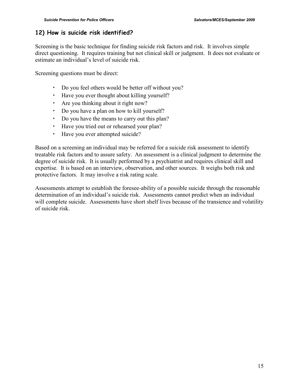### **12) How is suicide risk identified?**

Screening is the basic technique for finding suicide risk factors and risk. It involves simple direct questioning. It requires training but not clinical skill or judgment. It does not evaluate or estimate an individual's level of suicide risk.

Screening questions must be direct:

- Do you feel others would be better off without you?
- Have you ever thought about killing yourself?
- Are you thinking about it right now?
- Do you have a plan on how to kill yourself?
- Do you have the means to carry out this plan?
- Have you tried out or rehearsed your plan?
- Have you ever attempted suicide?

Based on a screening an individual may be referred for a suicide risk assessment to identify treatable risk factors and to assure safety. An assessment is a clinical judgment to determine the degree of suicide risk. It is usually performed by a psychiatrist and requires clinical skill and expertise. It is based on an interview, observation, and other sources. It weighs both risk and protective factors. It may involve a risk rating scale.

Assessments attempt to establish the foresee-ability of a possible suicide through the reasonable determination of an individual's suicide risk. Assessments cannot predict when an individual will complete suicide. Assessments have short shelf lives because of the transience and volatility of suicide risk.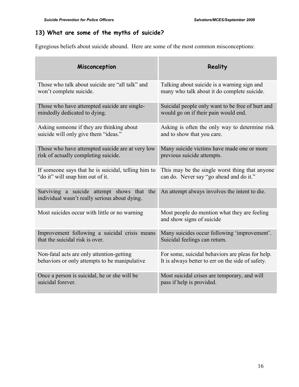# **13) What are some of the myths of suicide?**

Egregious beliefs about suicide abound. Here are some of the most common misconceptions:

| Misconception                                                                               | Reality                                                                   |
|---------------------------------------------------------------------------------------------|---------------------------------------------------------------------------|
| Those who talk about suicide are "all talk" and                                             | Talking about suicide is a warning sign and                               |
| won't complete suicide.                                                                     | many who talk about it do complete suicide.                               |
| Those who have attempted suicide are single-                                                | Suicidal people only want to be free of hurt and                          |
| mindedly dedicated to dying.                                                                | would go on if their pain would end.                                      |
| Asking someone if they are thinking about                                                   | Asking is often the only way to determine risk                            |
| suicide will only give them "ideas."                                                        | and to show that you care.                                                |
| Those who have attempted suicide are at very low                                            | Many suicide victims have made one or more                                |
| risk of actually completing suicide.                                                        | previous suicide attempts.                                                |
| If someone says that he is suicidal, telling him to                                         | This may be the single worst thing that anyone                            |
| "do it" will snap him out of it.                                                            | can do. Never say "go ahead and do it."                                   |
| Surviving a suicide attempt shows that the<br>individual wasn't really serious about dying. | An attempt always involves the intent to die.                             |
| Most suicides occur with little or no warning                                               | Most people do mention what they are feeling<br>and show signs of suicide |
| Improvement following a suicidal crisis means                                               | Many suicides occur following 'improvement'.                              |
| that the suicidal risk is over.                                                             | Suicidal feelings can return.                                             |
| Non-fatal acts are only attention-getting                                                   | For some, suicidal behaviors are pleas for help.                          |
| behaviors or only attempts to be manipulative                                               | It is always better to err on the side of safety.                         |
| Once a person is suicidal, he or she will be                                                | Most suicidal crises are temporary, and will                              |
| suicidal forever.                                                                           | pass if help is provided.                                                 |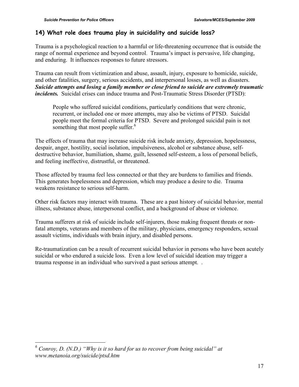### **14) What role does trauma play in suicidality and suicide loss?**

Trauma is a psychological reaction to a harmful or life-threatening occurrence that is outside the range of normal experience and beyond control. Trauma's impact is pervasive, life changing, and enduring. It influences responses to future stressors.

Trauma can result from victimization and abuse, assault, injury, exposure to homicide, suicide, and other fatalities, surgery, serious accidents, and interpersonal losses, as well as disasters. *Suicide attempts and losing a family member or close friend to suicide are extremely traumatic incidents.* Suicidal crises can induce trauma and Post-Traumatic Stress Disorder (PTSD):

People who suffered suicidal conditions, particularly conditions that were chronic, recurrent, or included one or more attempts, may also be victims of PTSD. Suicidal people meet the formal criteria for PTSD. Severe and prolonged suicidal pain is not something that most people suffer.<sup>6</sup>

The effects of trauma that may increase suicide risk include anxiety, depression, hopelessness, despair, anger, hostility, social isolation, impulsiveness, alcohol or substance abuse, selfdestructive behavior, humiliation, shame, guilt, lessened self-esteem, a loss of personal beliefs, and feeling ineffective, distrustful, or threatened.

Those affected by trauma feel less connected or that they are burdens to families and friends. This generates hopelessness and depression, which may produce a desire to die. Trauma weakens resistance to serious self-harm.

Other risk factors may interact with trauma. These are a past history of suicidal behavior, mental illness, substance abuse, interpersonal conflict, and a background of abuse or violence.

Trauma sufferers at risk of suicide include self-injurers, those making frequent threats or nonfatal attempts, veterans and members of the military, physicians, emergency responders, sexual assault victims, individuals with brain injury, and disabled persons.

Re-traumatization can be a result of recurrent suicidal behavior in persons who have been acutely suicidal or who endured a suicide loss. Even a low level of suicidal ideation may trigger a trauma response in an individual who survived a past serious attempt. .

<sup>&</sup>lt;sup>6</sup> Conroy, D. (N.D.) "Why is it so hard for us to recover from being suicidal" at *www.metanoia.org/suicide/ptsd.htm*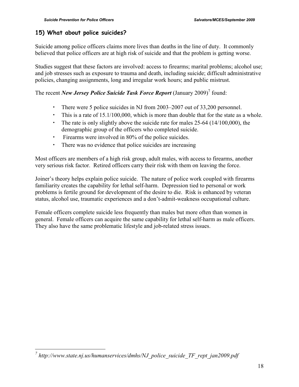#### **15) What about police suicides?**

Suicide among police officers claims more lives than deaths in the line of duty. It commonly believed that police officers are at high risk of suicide and that the problem is getting worse.

Studies suggest that these factors are involved: access to firearms; marital problems; alcohol use; and job stresses such as exposure to trauma and death, including suicide; difficult administrative policies, changing assignments, long and irregular work hours; and public mistrust.

The recent *New Jersey Police Suicide Task Force Report* (January 2009)<sup>7</sup> found:

- There were 5 police suicides in NJ from 2003–2007 out of 33,200 personnel.
- This is a rate of 15.1/100,000, which is more than double that for the state as a whole.
- The rate is only slightly above the suicide rate for males 25-64 (14/100,000), the demographic group of the officers who completed suicide.
- Firearms were involved in 80% of the police suicides.
- There was no evidence that police suicides are increasing

Most officers are members of a high risk group, adult males, with access to firearms, another very serious risk factor. Retired officers carry their risk with them on leaving the force.

Joiner's theory helps explain police suicide. The nature of police work coupled with firearms familiarity creates the capability for lethal self-harm. Depression tied to personal or work problems is fertile ground for development of the desire to die. Risk is enhanced by veteran status, alcohol use, traumatic experiences and a don't-admit-weakness occupational culture.

Female officers complete suicide less frequently than males but more often than women in general. Female officers can acquire the same capability for lethal self-harm as male officers. They also have the same problematic lifestyle and job-related stress issues.

 *7 http://www.state.nj.us/humanservices/dmhs/NJ\_police\_suicide\_TF\_rept\_jan2009.pdf*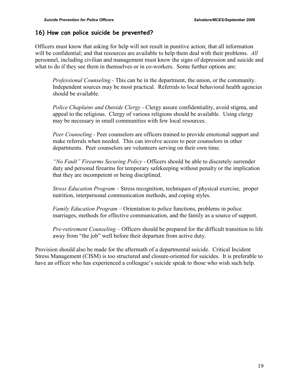#### **16) How can police suicide be prevented?**

Officers must know that asking for help will not result in punitive action; that all information will be confidential; and that resources are available to help them deal with their problems. *All* personnel, including civilian and management must know the signs of depression and suicide and what to do if they see them in themselves or in co-workers. Some further options are:

*Professional Counseling -* This can be in the department, the union, or the community. Independent sources may be most practical. Referrals to local behavioral health agencies should be available.

*Police Chaplains and Outside Clergy -* Clergy assure confidentiality, avoid stigma, and appeal to the religious. Clergy of various religions should be available. Using clergy may be necessary in small communities with few local resources.

*Peer Counseling -* Peer counselors are officers trained to provide emotional support and make referrals when needed. This can involve access to peer counselors in other departments. Peer counselors are volunteers serving on their own time.

*"No Fault" Firearms Securing Policy* - Officers should be able to discretely surrender duty and personal firearms for temporary safekeeping without penalty or the implication that they are incompetent or being disciplined.

*Stress Education Program –* Stress recognition, techniques of physical exercise, proper nutrition, interpersonal communication methods, and coping styles.

*Family Education Program* – Orientation to police functions, problems in police marriages, methods for effective communication, and the family as a source of support.

*Pre-retirement Counseling* – Officers should be prepared for the difficult transition to life away from "the job" well before their departure from active duty.

Provision should also be made for the aftermath of a departmental suicide. Critical Incident Stress Management (CISM) is too structured and closure-oriented for suicides. It is preferable to have an officer who has experienced a colleague's suicide speak to those who wish such help.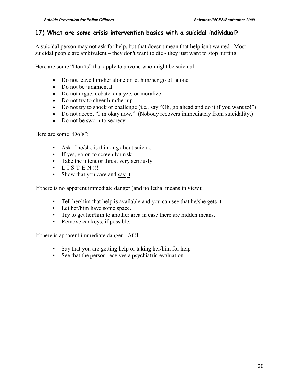### **17) What are some crisis intervention basics with a suicidal individual?**

A suicidal person may not ask for help, but that doesn't mean that help isn't wanted. Most suicidal people are ambivalent – they don't want to die - they just want to stop hurting.

Here are some "Don'ts" that apply to anyone who might be suicidal:

- Do not leave him/her alone or let him/her go off alone
- Do not be judgmental
- Do not argue, debate, analyze, or moralize
- Do not try to cheer him/her up
- Do not try to shock or challenge (i.e., say "Oh, go ahead and do it if you want to!")
- Do not accept "I'm okay now." (Nobody recovers immediately from suicidality.)
- Do not be sworn to secrecy

Here are some "Do's":

- Ask if he/she is thinking about suicide
- If yes, go on to screen for risk
- Take the intent or threat very seriously
- L-I-S-T-E-N !!!
- Show that you care and say it

If there is no apparent immediate danger (and no lethal means in view):

- Tell her/him that help is available and you can see that he/she gets it.
- Let her/him have some space.
- Try to get her/him to another area in case there are hidden means.
- Remove car keys, if possible.

If there is apparent immediate danger - ACT:

- Say that you are getting help or taking her/him for help
- See that the person receives a psychiatric evaluation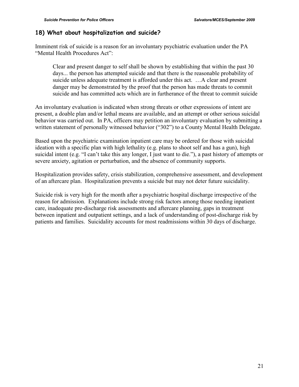### **18) What about hospitalization and suicide?**

Imminent risk of suicide is a reason for an involuntary psychiatric evaluation under the PA "Mental Health Procedures Act":

Clear and present danger to self shall be shown by establishing that within the past 30 days... the person has attempted suicide and that there is the reasonable probability of suicide unless adequate treatment is afforded under this act. …A clear and present danger may be demonstrated by the proof that the person has made threats to commit suicide and has committed acts which are in furtherance of the threat to commit suicide

An involuntary evaluation is indicated when strong threats or other expressions of intent are present, a doable plan and/or lethal means are available, and an attempt or other serious suicidal behavior was carried out. In PA, officers may petition an involuntary evaluation by submitting a written statement of personally witnessed behavior ("302") to a County Mental Health Delegate.

Based upon the psychiatric examination inpatient care may be ordered for those with suicidal ideation with a specific plan with high lethality (e.g. plans to shoot self and has a gun), high suicidal intent (e.g. "I can't take this any longer, I just want to die."), a past history of attempts or severe anxiety, agitation or perturbation, and the absence of community supports.

Hospitalization provides safety, crisis stabilization, comprehensive assessment, and development of an aftercare plan. Hospitalization prevents a suicide but may not deter future suicidality.

Suicide risk is very high for the month after a psychiatric hospital discharge irrespective of the reason for admission. Explanations include strong risk factors among those needing inpatient care, inadequate pre-discharge risk assessments and aftercare planning, gaps in treatment between inpatient and outpatient settings, and a lack of understanding of post-discharge risk by patients and families. Suicidality accounts for most readmissions within 30 days of discharge.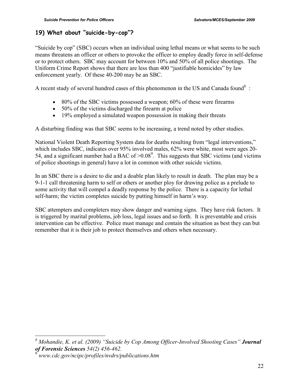# **19) What about "suicide-by-cop"?**

"Suicide by cop" (SBC) occurs when an individual using lethal means or what seems to be such means threatens an officer or others to provoke the officer to employ deadly force in self-defense or to protect others. SBC may account for between 10% and 50% of all police shootings. The Uniform Crime Report shows that there are less than 400 "justifiable homicides" by law enforcement yearly. Of these 40-200 may be an SBC.

A recent study of several hundred cases of this phenomenon in the US and Canada found<sup>8</sup>:

- 80% of the SBC victims possessed a weapon; 60% of these were firearms
- 50% of the victims discharged the firearm at police
- 19% employed a simulated weapon possession in making their threats

A disturbing finding was that SBC seems to be increasing, a trend noted by other studies.

National Violent Death Reporting System data for deaths resulting from "legal interventions," which includes SBC, indicates over 95% involved males, 62% were white, most were ages 20- 54, and a significant number had a BAC of  $>0.08^9$ . This suggests that SBC victims (and victims of police shootings in general) have a lot in common with other suicide victims.

In an SBC there is a desire to die and a doable plan likely to result in death. The plan may be a 9-1-1 call threatening harm to self or others or another ploy for drawing police as a prelude to some activity that will compel a deadly response by the police. There is a capacity for lethal self-harm; the victim completes suicide by putting himself in harm's way.

SBC attempters and completers may show danger and warning signs. They have risk factors. It is triggered by marital problems, job loss, legal issues and so forth. It is preventable and crisis intervention can be effective. Police must manage and contain the situation as best they can but remember that it is their job to protect themselves and others when necessary.

-

*<sup>8</sup> Mohandie, K. et al. (2009) "Suicide by Cop Among Officer-Involved Shooting Cases" Journal of Forensic Sciences 54(2) 456-462.* 

<sup>9</sup> *www.cdc.gov/ncipc/profiles/nvdrs/publications.htm*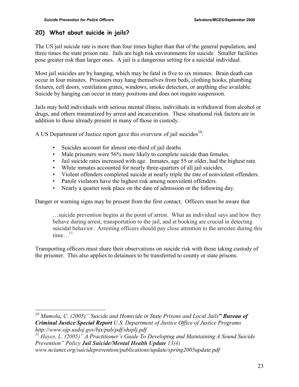# **20) What about suicide in jails?**

The US jail suicide rate is more than four times higher than that of the general population, and three times the state prison rate. Jails are high risk environments for suicide. Smaller facilities pose greater risk than larger ones. A jail is a dangerous setting for a suicidal individual.

Most jail suicides are by hanging, which may be fatal in five to six minutes. Brain death can occur in four minutes. Prisoners may hang themselves from beds, clothing hooks, plumbing fixtures, cell doors, ventilation grates, windows, smoke detectors, or anything else available. Suicide by hanging can occur in many positions and does not require suspension.

Jails may hold individuals with serious mental illness, individuals in withdrawal from alcohol or drugs, and others traumatized by arrest and incarceration. These situational risk factors are in addition to those already present in many of those in custody.

A US Department of Justice report gave this overview of jail suicides $10$ :

- Suicides account for almost one-third of jail deaths
- Male prisoners were 56% more likely to complete suicide than females.
- Jail suicide rates increased with age. Inmates, age 55 or older, had the highest rate.
- White inmates accounted for nearly three-quarters of all jail suicides.
- Violent offenders completed suicide at nearly triple the rate of nonviolent offenders.
- Parole violators have the highest risk among nonviolent offenders.
- Nearly a quarter took place on the date of admission or the following day.

Danger or warning signs may be present from the first contact. Officers must be aware that

…suicide prevention begins at the point of arrest. What an individual says and how they behave during arrest, transportation to the jail, and at booking are crucial in detecting suicidal behavior. Arresting officers should pay close attention to the arrestee during this time  $\frac{11}{11}$ 

Transporting officers must share their observations on suicide risk with those taking custody of the prisoner. This also applies to detainees to be transferred to county or state prisons.

 $\overline{a}$ 

*<sup>10</sup> Mumola, C. (2005)" Suicide and Homicide in State Prisons and Local Jails" Bureau of Criminal Justice Special Report U.S. Department of Justice Office of Justice Programs http://www.ojp.usdoj.gov/bjs/pub/pdf/shsplj.pdf* 

*<sup>11</sup> Hayes, L. (2005)" A Practitioner's Guide To Developing and Maintaining A Sound Suicide Prevention" Policy Jail Suicide/Mental Health Update 13(4)* 

*www.ncianet.org/suicideprevention/publications/update/spring2005update.pdf*